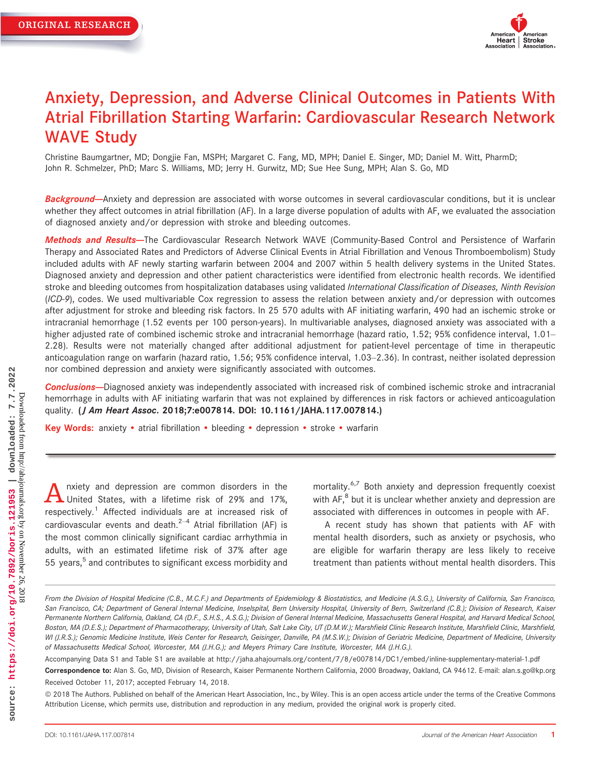

# Anxiety, Depression, and Adverse Clinical Outcomes in Patients With Atrial Fibrillation Starting Warfarin: Cardiovascular Research Network WAVE Study

Christine Baumgartner, MD; Dongjie Fan, MSPH; Margaret C. Fang, MD, MPH; Daniel E. Singer, MD; Daniel M. Witt, PharmD; John R. Schmelzer, PhD; Marc S. Williams, MD; Jerry H. Gurwitz, MD; Sue Hee Sung, MPH; Alan S. Go, MD

Background--Anxiety and depression are associated with worse outcomes in several cardiovascular conditions, but it is unclear whether they affect outcomes in atrial fibrillation (AF). In a large diverse population of adults with AF, we evaluated the association of diagnosed anxiety and/or depression with stroke and bleeding outcomes.

Methods and Results-The Cardiovascular Research Network WAVE (Community-Based Control and Persistence of Warfarin Therapy and Associated Rates and Predictors of Adverse Clinical Events in Atrial Fibrillation and Venous Thromboembolism) Study included adults with AF newly starting warfarin between 2004 and 2007 within 5 health delivery systems in the United States. Diagnosed anxiety and depression and other patient characteristics were identified from electronic health records. We identified stroke and bleeding outcomes from hospitalization databases using validated International Classification of Diseases, Ninth Revision (ICD-9), codes. We used multivariable Cox regression to assess the relation between anxiety and/or depression with outcomes after adjustment for stroke and bleeding risk factors. In 25 570 adults with AF initiating warfarin, 490 had an ischemic stroke or intracranial hemorrhage (1.52 events per 100 person-years). In multivariable analyses, diagnosed anxiety was associated with a higher adjusted rate of combined ischemic stroke and intracranial hemorrhage (hazard ratio, 1.52; 95% confidence interval, 1.01– 2.28). Results were not materially changed after additional adjustment for patient-level percentage of time in therapeutic anticoagulation range on warfarin (hazard ratio, 1.56; 95% confidence interval, 1.03–2.36). In contrast, neither isolated depression nor combined depression and anxiety were significantly associated with outcomes.

Conclusions--Diagnosed anxiety was independently associated with increased risk of combined ischemic stroke and intracranial hemorrhage in adults with AF initiating warfarin that was not explained by differences in risk factors or achieved anticoagulation quality. (*J Am Heart Assoc.* 2018;7:e007814. DOI: [10.1161/JAHA.117.007814.](info:doi/10.1161/JAHA.117.007814))

Key Words: anxiety • atrial fibrillation • bleeding • depression • stroke • warfarin

A nxiety and depression are common disorders in the United States, with a lifetime risk of 29% and 17%, respectively.<sup>1</sup> Affected individuals are at increased risk of cardiovascular events and death. $2-4$  Atrial fibrillation (AF) is the most common clinically significant cardiac arrhythmia in adults, with an estimated lifetime risk of 37% after age 55 years,<sup>5</sup> and contributes to significant excess morbidity and mortality.<sup>6,7</sup> Both anxiety and depression frequently coexist with  $AF<sub>1</sub><sup>8</sup>$  but it is unclear whether anxiety and depression are associated with differences in outcomes in people with AF.

A recent study has shown that patients with AF with mental health disorders, such as anxiety or psychosis, who are eligible for warfarin therapy are less likely to receive treatment than patients without mental health disorders. This

Accompanying Data S1 and Table S1 are available at<http://jaha.ahajournals.org/content/7/8/e007814/DC1/embed/inline-supplementary-material-1.pdf>

ª 2018 The Authors. Published on behalf of the American Heart Association, Inc., by Wiley. This is an open access article under the terms of the [Creative Commons](http://creativecommons.org/licenses/by/4.0/) [Attribution](http://creativecommons.org/licenses/by/4.0/) License, which permits use, distribution and reproduction in any medium, provided the original work is properly cited.

From the Division of Hospital Medicine (C.B., M.C.F.) and Departments of Epidemiology & Biostatistics, and Medicine (A.S.G.), University of California, San Francisco, San Francisco, CA; Department of General Internal Medicine, Inselspital, Bern University Hospital, University of Bern, Switzerland (C.B.); Division of Research, Kaiser Permanente Northern California, Oakland, CA (D.F., S.H.S., A.S.G.); Division of General Internal Medicine, Massachusetts General Hospital, and Harvard Medical School, Boston, MA (D.E.S.); Department of Pharmacotherapy, University of Utah, Salt Lake City, UT (D.M.W.); Marshfield Clinic Research Institute, Marshfield Clinic, Marshfield, WI (J.R.S.); Genomic Medicine Institute, Weis Center for Research, Geisinger, Danville, PA (M.S.W.); Division of Geriatric Medicine, Department of Medicine, University of Massachusetts Medical School, Worcester, MA (J.H.G.); and Meyers Primary Care Institute, Worcester, MA (J.H.G.).

Correspondence to: Alan S. Go, MD, Division of Research, Kaiser Permanente Northern California, 2000 Broadway, Oakland, CA 94612. E-mail: alan.s.go@kp.org Received October 11, 2017; accepted February 14, 2018.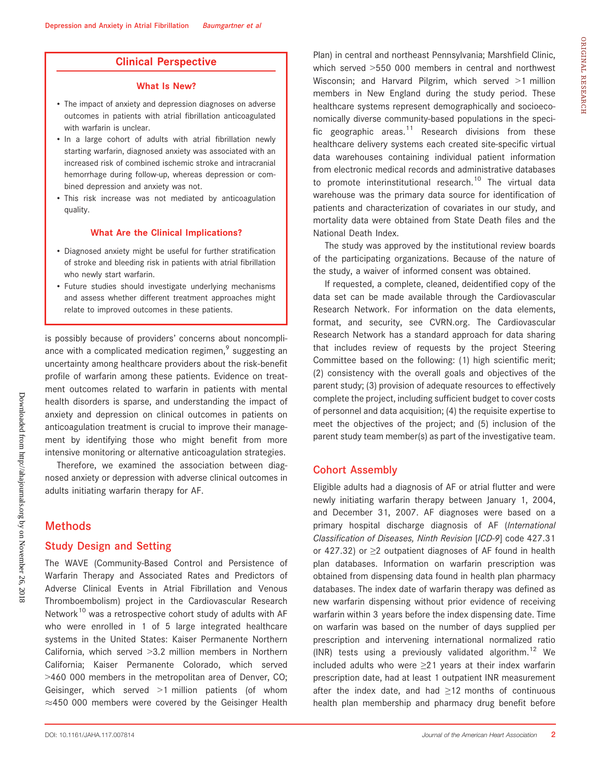# Clinical Perspective

#### What Is New?

- The impact of anxiety and depression diagnoses on adverse outcomes in patients with atrial fibrillation anticoagulated with warfarin is unclear.
- In a large cohort of adults with atrial fibrillation newly starting warfarin, diagnosed anxiety was associated with an increased risk of combined ischemic stroke and intracranial hemorrhage during follow-up, whereas depression or combined depression and anxiety was not.
- This risk increase was not mediated by anticoagulation quality.

#### What Are the Clinical Implications?

- Diagnosed anxiety might be useful for further stratification of stroke and bleeding risk in patients with atrial fibrillation who newly start warfarin.
- Future studies should investigate underlying mechanisms and assess whether different treatment approaches might relate to improved outcomes in these patients.

is possibly because of providers' concerns about noncompliance with a complicated medication regimen, $9$  suggesting an uncertainty among healthcare providers about the risk-benefit profile of warfarin among these patients. Evidence on treatment outcomes related to warfarin in patients with mental health disorders is sparse, and understanding the impact of anxiety and depression on clinical outcomes in patients on anticoagulation treatment is crucial to improve their management by identifying those who might benefit from more intensive monitoring or alternative anticoagulation strategies.

Therefore, we examined the association between diagnosed anxiety or depression with adverse clinical outcomes in adults initiating warfarin therapy for AF.

#### **Methods**

#### Study Design and Setting

The WAVE (Community-Based Control and Persistence of Warfarin Therapy and Associated Rates and Predictors of Adverse Clinical Events in Atrial Fibrillation and Venous Thromboembolism) project in the Cardiovascular Research Network<sup>10</sup> was a retrospective cohort study of adults with AF who were enrolled in 1 of 5 large integrated healthcare systems in the United States: Kaiser Permanente Northern California, which served >3.2 million members in Northern California; Kaiser Permanente Colorado, which served >460 000 members in the metropolitan area of Denver, CO; Geisinger, which served >1 million patients (of whom  $\approx$ 450 000 members were covered by the Geisinger Health Plan) in central and northeast Pennsylvania; Marshfield Clinic, which served >550 000 members in central and northwest Wisconsin; and Harvard Pilgrim, which served >1 million members in New England during the study period. These healthcare systems represent demographically and socioeconomically diverse community-based populations in the specific geographic areas.<sup>11</sup> Research divisions from these healthcare delivery systems each created site-specific virtual data warehouses containing individual patient information from electronic medical records and administrative databases to promote interinstitutional research.<sup>10</sup> The virtual data warehouse was the primary data source for identification of patients and characterization of covariates in our study, and mortality data were obtained from State Death files and the National Death Index.

The study was approved by the institutional review boards of the participating organizations. Because of the nature of the study, a waiver of informed consent was obtained.

If requested, a complete, cleaned, deidentified copy of the data set can be made available through the Cardiovascular Research Network. For information on the data elements, format, and security, see [CVRN.org.](http://CVRN.org) The Cardiovascular Research Network has a standard approach for data sharing that includes review of requests by the project Steering Committee based on the following: (1) high scientific merit; (2) consistency with the overall goals and objectives of the parent study; (3) provision of adequate resources to effectively complete the project, including sufficient budget to cover costs of personnel and data acquisition; (4) the requisite expertise to meet the objectives of the project; and (5) inclusion of the parent study team member(s) as part of the investigative team.

#### Cohort Assembly

Eligible adults had a diagnosis of AF or atrial flutter and were newly initiating warfarin therapy between January 1, 2004, and December 31, 2007. AF diagnoses were based on a primary hospital discharge diagnosis of AF (International Classification of Diseases, Ninth Revision [ICD-9] code 427.31 or 427.32) or ≥2 outpatient diagnoses of AF found in health plan databases. Information on warfarin prescription was obtained from dispensing data found in health plan pharmacy databases. The index date of warfarin therapy was defined as new warfarin dispensing without prior evidence of receiving warfarin within 3 years before the index dispensing date. Time on warfarin was based on the number of days supplied per prescription and intervening international normalized ratio (INR) tests using a previously validated algorithm.<sup>12</sup> We included adults who were ≥21 years at their index warfarin prescription date, had at least 1 outpatient INR measurement after the index date, and had  $\geq$ 12 months of continuous health plan membership and pharmacy drug benefit before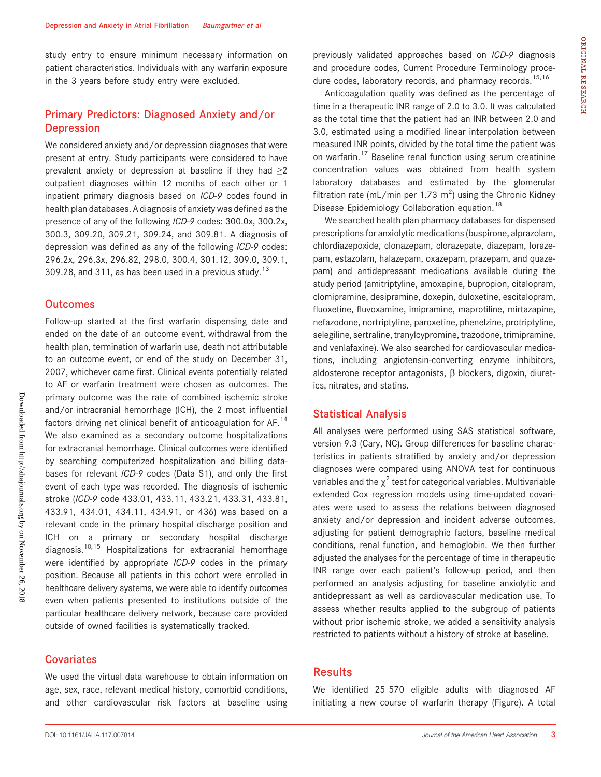study entry to ensure minimum necessary information on patient characteristics. Individuals with any warfarin exposure in the 3 years before study entry were excluded.

# Primary Predictors: Diagnosed Anxiety and/or Depression

We considered anxiety and/or depression diagnoses that were present at entry. Study participants were considered to have prevalent anxiety or depression at baseline if they had  $\geq 2$ outpatient diagnoses within 12 months of each other or 1 inpatient primary diagnosis based on ICD-9 codes found in health plan databases. A diagnosis of anxiety was defined as the presence of any of the following ICD-9 codes: 300.0x, 300.2x, 300.3, 309.20, 309.21, 309.24, and 309.81. A diagnosis of depression was defined as any of the following ICD-9 codes: 296.2x, 296.3x, 296.82, 298.0, 300.4, 301.12, 309.0, 309.1, 309.28, and 311, as has been used in a previous study.<sup>13</sup>

#### **Outcomes**

Follow-up started at the first warfarin dispensing date and ended on the date of an outcome event, withdrawal from the health plan, termination of warfarin use, death not attributable to an outcome event, or end of the study on December 31, 2007, whichever came first. Clinical events potentially related to AF or warfarin treatment were chosen as outcomes. The primary outcome was the rate of combined ischemic stroke and/or intracranial hemorrhage (ICH), the 2 most influential factors driving net clinical benefit of anticoagulation for AF.<sup>14</sup> We also examined as a secondary outcome hospitalizations for extracranial hemorrhage. Clinical outcomes were identified by searching computerized hospitalization and billing databases for relevant ICD-9 codes (Data S1), and only the first event of each type was recorded. The diagnosis of ischemic stroke (ICD-9 code 433.01, 433.11, 433.21, 433.31, 433.81, 433.91, 434.01, 434.11, 434.91, or 436) was based on a relevant code in the primary hospital discharge position and ICH on a primary or secondary hospital discharge diagnosis.10,15 Hospitalizations for extracranial hemorrhage were identified by appropriate ICD-9 codes in the primary position. Because all patients in this cohort were enrolled in healthcare delivery systems, we were able to identify outcomes even when patients presented to institutions outside of the particular healthcare delivery network, because care provided outside of owned facilities is systematically tracked.

#### **Covariates**

We used the virtual data warehouse to obtain information on age, sex, race, relevant medical history, comorbid conditions, and other cardiovascular risk factors at baseline using previously validated approaches based on ICD-9 diagnosis and procedure codes, Current Procedure Terminology procedure codes, laboratory records, and pharmacy records.<sup>15,16</sup>

Anticoagulation quality was defined as the percentage of time in a therapeutic INR range of 2.0 to 3.0. It was calculated as the total time that the patient had an INR between 2.0 and 3.0, estimated using a modified linear interpolation between measured INR points, divided by the total time the patient was on warfarin.<sup>17</sup> Baseline renal function using serum creatinine concentration values was obtained from health system laboratory databases and estimated by the glomerular filtration rate (mL/min per 1.73  $m^2$ ) using the Chronic Kidney Disease Epidemiology Collaboration equation.<sup>18</sup>

We searched health plan pharmacy databases for dispensed prescriptions for anxiolytic medications (buspirone, alprazolam, chlordiazepoxide, clonazepam, clorazepate, diazepam, lorazepam, estazolam, halazepam, oxazepam, prazepam, and quazepam) and antidepressant medications available during the study period (amitriptyline, amoxapine, bupropion, citalopram, clomipramine, desipramine, doxepin, duloxetine, escitalopram, fluoxetine, fluvoxamine, imipramine, maprotiline, mirtazapine, nefazodone, nortriptyline, paroxetine, phenelzine, protriptyline, selegiline, sertraline, tranylcypromine, trazodone, trimipramine, and venlafaxine). We also searched for cardiovascular medications, including angiotensin-converting enzyme inhibitors, aldosterone receptor antagonists,  $\beta$  blockers, digoxin, diuretics, nitrates, and statins.

#### Statistical Analysis

All analyses were performed using SAS statistical software, version 9.3 (Cary, NC). Group differences for baseline characteristics in patients stratified by anxiety and/or depression diagnoses were compared using ANOVA test for continuous variables and the  $\chi^2$  test for categorical variables. Multivariable extended Cox regression models using time-updated covariates were used to assess the relations between diagnosed anxiety and/or depression and incident adverse outcomes, adjusting for patient demographic factors, baseline medical conditions, renal function, and hemoglobin. We then further adjusted the analyses for the percentage of time in therapeutic INR range over each patient's follow-up period, and then performed an analysis adjusting for baseline anxiolytic and antidepressant as well as cardiovascular medication use. To assess whether results applied to the subgroup of patients without prior ischemic stroke, we added a sensitivity analysis restricted to patients without a history of stroke at baseline.

# **Results**

We identified 25 570 eligible adults with diagnosed AF initiating a new course of warfarin therapy (Figure). A total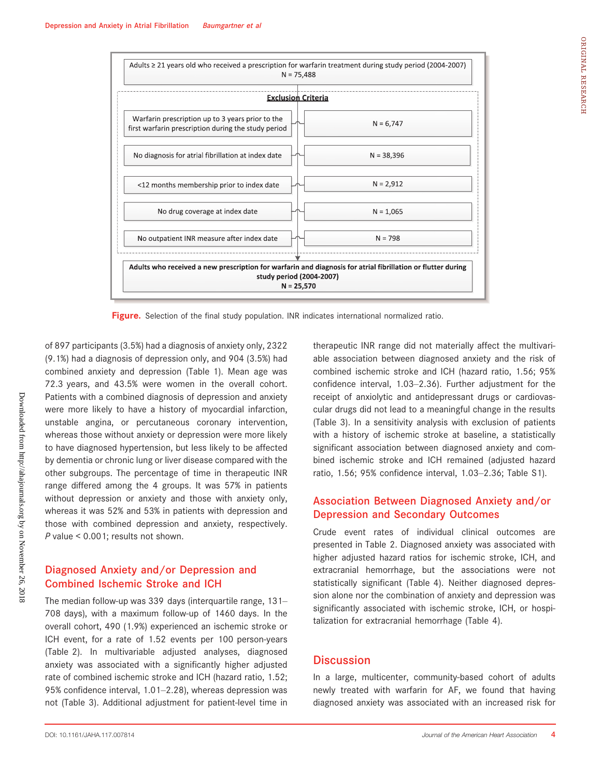

Figure. Selection of the final study population. INR indicates international normalized ratio.

of 897 participants (3.5%) had a diagnosis of anxiety only, 2322 (9.1%) had a diagnosis of depression only, and 904 (3.5%) had combined anxiety and depression (Table 1). Mean age was 72.3 years, and 43.5% were women in the overall cohort. Patients with a combined diagnosis of depression and anxiety were more likely to have a history of myocardial infarction, unstable angina, or percutaneous coronary intervention, whereas those without anxiety or depression were more likely to have diagnosed hypertension, but less likely to be affected by dementia or chronic lung or liver disease compared with the other subgroups. The percentage of time in therapeutic INR range differed among the 4 groups. It was 57% in patients without depression or anxiety and those with anxiety only, whereas it was 52% and 53% in patients with depression and those with combined depression and anxiety, respectively. P value < 0.001; results not shown.

# Diagnosed Anxiety and/or Depression and Combined Ischemic Stroke and ICH

The median follow-up was 339 days (interquartile range, 131– 708 days), with a maximum follow-up of 1460 days. In the overall cohort, 490 (1.9%) experienced an ischemic stroke or ICH event, for a rate of 1.52 events per 100 person-years (Table 2). In multivariable adjusted analyses, diagnosed anxiety was associated with a significantly higher adjusted rate of combined ischemic stroke and ICH (hazard ratio, 1.52; 95% confidence interval, 1.01–2.28), whereas depression was not (Table 3). Additional adjustment for patient-level time in therapeutic INR range did not materially affect the multivariable association between diagnosed anxiety and the risk of combined ischemic stroke and ICH (hazard ratio, 1.56; 95% confidence interval, 1.03–2.36). Further adjustment for the receipt of anxiolytic and antidepressant drugs or cardiovascular drugs did not lead to a meaningful change in the results (Table 3). In a sensitivity analysis with exclusion of patients with a history of ischemic stroke at baseline, a statistically significant association between diagnosed anxiety and combined ischemic stroke and ICH remained (adjusted hazard ratio, 1.56; 95% confidence interval, 1.03–2.36; Table S1).

# Association Between Diagnosed Anxiety and/or Depression and Secondary Outcomes

Crude event rates of individual clinical outcomes are presented in Table 2. Diagnosed anxiety was associated with higher adjusted hazard ratios for ischemic stroke, ICH, and extracranial hemorrhage, but the associations were not statistically significant (Table 4). Neither diagnosed depression alone nor the combination of anxiety and depression was significantly associated with ischemic stroke, ICH, or hospitalization for extracranial hemorrhage (Table 4).

# **Discussion**

In a large, multicenter, community-based cohort of adults newly treated with warfarin for AF, we found that having diagnosed anxiety was associated with an increased risk for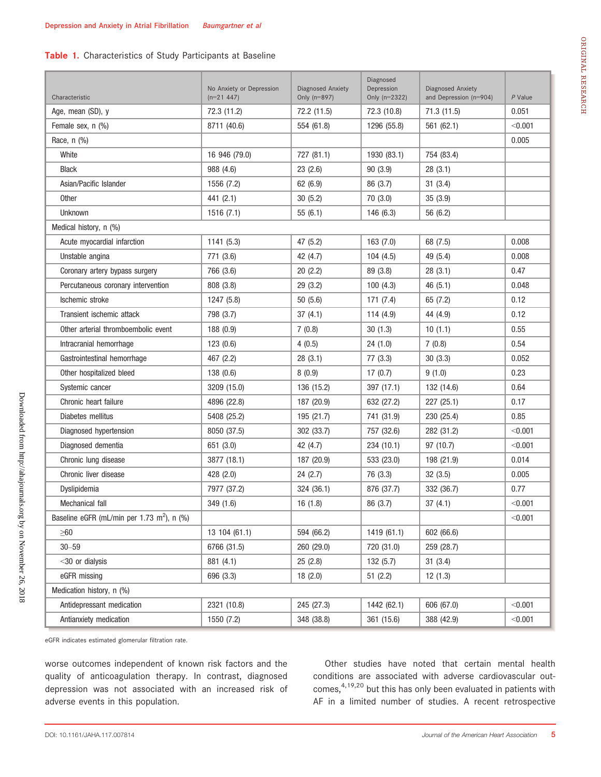#### Table 1. Characteristics of Study Participants at Baseline

| Characteristic                                         | No Anxiety or Depression<br>$(n=21 447)$ | Diagnosed Anxiety<br>Only (n=897) | Diagnosed<br>Depression<br>Only $(n=2322)$ | Diagnosed Anxiety<br>and Depression (n=904) | P Value |
|--------------------------------------------------------|------------------------------------------|-----------------------------------|--------------------------------------------|---------------------------------------------|---------|
| Age, mean (SD), y                                      | 72.3 (11.2)                              | 72.2 (11.5)                       | 72.3 (10.8)                                | 71.3(11.5)                                  | 0.051   |
| Female sex, n (%)                                      | 8711 (40.6)                              | 554 (61.8)                        | 1296 (55.8)                                | 561(62.1)                                   | < 0.001 |
| Race, n (%)                                            |                                          |                                   |                                            |                                             | 0.005   |
| White                                                  | 16 946 (79.0)                            | 727 (81.1)                        | 1930 (83.1)                                | 754 (83.4)                                  |         |
| <b>Black</b>                                           | 988 (4.6)                                | 23(2.6)                           | 90(3.9)                                    | 28(3.1)                                     |         |
| Asian/Pacific Islander                                 | 1556 (7.2)                               | 62 (6.9)                          | 86 (3.7)                                   | 31(3.4)                                     |         |
| Other                                                  | 441 (2.1)                                | 30(5.2)                           | 70(3.0)                                    | 35(3.9)                                     |         |
| Unknown                                                | 1516(7.1)                                | 55(6.1)                           | 146 (6.3)                                  | 56 (6.2)                                    |         |
| Medical history, n (%)                                 |                                          |                                   |                                            |                                             |         |
| Acute myocardial infarction                            | 1141 (5.3)                               | 47 (5.2)                          | 163(7.0)                                   | 68 (7.5)                                    | 0.008   |
| Unstable angina                                        | 771 (3.6)                                | 42 (4.7)                          | 104(4.5)                                   | 49 (5.4)                                    | 0.008   |
| Coronary artery bypass surgery                         | 766 (3.6)                                | 20(2.2)                           | 89 (3.8)                                   | 28(3.1)                                     | 0.47    |
| Percutaneous coronary intervention                     | 808 (3.8)                                | 29(3.2)                           | 100(4.3)                                   | 46(5.1)                                     | 0.048   |
| Ischemic stroke                                        | 1247 (5.8)                               | 50(5.6)                           | 171(7.4)                                   | 65 (7.2)                                    | 0.12    |
| Transient ischemic attack                              | 798 (3.7)                                | 37(4.1)                           | 114(4.9)                                   | 44 (4.9)                                    | 0.12    |
| Other arterial thromboembolic event                    | 188(0.9)                                 | 7(0.8)                            | 30(1.3)                                    | 10(1.1)                                     | 0.55    |
| Intracranial hemorrhage                                | 123(0.6)                                 | 4(0.5)                            | 24(1.0)                                    | 7(0.8)                                      | 0.54    |
| Gastrointestinal hemorrhage                            | 467 (2.2)                                | 28(3.1)                           | 77(3.3)                                    | 30(3.3)                                     | 0.052   |
| Other hospitalized bleed                               | 138(0.6)                                 | 8(0.9)                            | 17(0.7)                                    | 9(1.0)                                      | 0.23    |
| Systemic cancer                                        | 3209 (15.0)                              | 136 (15.2)                        | 397 (17.1)                                 | 132 (14.6)                                  | 0.64    |
| Chronic heart failure                                  | 4896 (22.8)                              | 187 (20.9)                        | 632 (27.2)                                 | 227(25.1)                                   | 0.17    |
| Diabetes mellitus                                      | 5408 (25.2)                              | 195 (21.7)                        | 741 (31.9)                                 | 230 (25.4)                                  | 0.85    |
| Diagnosed hypertension                                 | 8050 (37.5)                              | 302 (33.7)                        | 757 (32.6)                                 | 282 (31.2)                                  | < 0.001 |
| Diagnosed dementia                                     | 651 (3.0)                                | 42 (4.7)                          | 234 (10.1)                                 | 97 (10.7)                                   | < 0.001 |
| Chronic lung disease                                   | 3877 (18.1)                              | 187 (20.9)                        | 533 (23.0)                                 | 198 (21.9)                                  | 0.014   |
| Chronic liver disease                                  | 428 (2.0)                                | 24(2.7)                           | 76 (3.3)                                   | 32(3.5)                                     | 0.005   |
| Dyslipidemia                                           | 7977 (37.2)                              | 324 (36.1)                        | 876 (37.7)                                 | 332 (36.7)                                  | 0.77    |
| Mechanical fall                                        | 349 (1.6)                                | 16(1.8)                           | 86 (3.7)                                   | 37(4.1)                                     | < 0.001 |
| Baseline eGFR (mL/min per 1.73 m <sup>2</sup> ), n (%) |                                          |                                   |                                            |                                             | < 0.001 |
| $\geq 60$                                              | 13 104 (61.1)                            | 594 (66.2)                        | 1419 (61.1)                                | 602 (66.6)                                  |         |
| $30 - 59$                                              | 6766 (31.5)                              | 260 (29.0)                        | 720 (31.0)                                 | 259 (28.7)                                  |         |
| <30 or dialysis                                        | 881 (4.1)                                | 25(2.8)                           | 132(5.7)                                   | 31(3.4)                                     |         |
| eGFR missing                                           | 696 (3.3)                                | 18(2.0)                           | 51(2.2)                                    | 12(1.3)                                     |         |
| Medication history, n (%)                              |                                          |                                   |                                            |                                             |         |
| Antidepressant medication                              | 2321 (10.8)                              | 245 (27.3)                        | 1442 (62.1)                                | 606 (67.0)                                  | < 0.001 |
| Antianxiety medication                                 | 1550 (7.2)                               | 348 (38.8)                        | 361 (15.6)                                 | 388 (42.9)                                  | < 0.001 |

eGFR indicates estimated glomerular filtration rate.

worse outcomes independent of known risk factors and the quality of anticoagulation therapy. In contrast, diagnosed depression was not associated with an increased risk of adverse events in this population.

Other studies have noted that certain mental health conditions are associated with adverse cardiovascular outcomes,4,19,20 but this has only been evaluated in patients with AF in a limited number of studies. A recent retrospective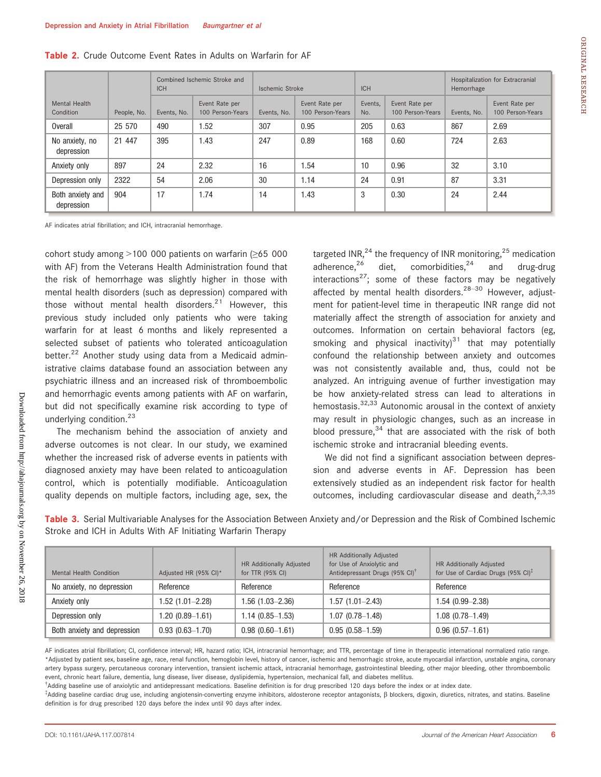| ١ |
|---|
| I |
|   |
|   |
|   |
|   |
|   |
| г |
| ï |
| н |
| 1 |
|   |
|   |
|   |
| г |
|   |
| ١ |
| ۱ |

|                                |             | <b>ICH</b>  | Combined Ischemic Stroke and       | Ischemic Stroke |                                    | <b>ICH</b>     |                                    | Hospitalization for Extracranial<br>Hemorrhage |                                    |
|--------------------------------|-------------|-------------|------------------------------------|-----------------|------------------------------------|----------------|------------------------------------|------------------------------------------------|------------------------------------|
| Mental Health<br>Condition     | People, No. | Events, No. | Event Rate per<br>100 Person-Years | Events, No.     | Event Rate per<br>100 Person-Years | Events,<br>No. | Event Rate per<br>100 Person-Years | Events, No.                                    | Event Rate per<br>100 Person-Years |
| <b>Overall</b>                 | 25 570      | 490         | 1.52                               | 307             | 0.95                               | 205            | 0.63                               | 867                                            | 2.69                               |
| No anxiety, no<br>depression   | 21 447      | 395         | 1.43                               | 247             | 0.89                               | 168            | 0.60                               | 724                                            | 2.63                               |
| Anxiety only                   | 897         | 24          | 2.32                               | 16              | 1.54                               | 10             | 0.96                               | 32                                             | 3.10                               |
| Depression only                | 2322        | 54          | 2.06                               | 30              | 1.14                               | 24             | 0.91                               | 87                                             | 3.31                               |
| Both anxiety and<br>depression | 904         | 17          | 1.74                               | 14              | 1.43                               | 3              | 0.30                               | 24                                             | 2.44                               |

#### Table 2. Crude Outcome Event Rates in Adults on Warfarin for AF

AF indicates atrial fibrillation; and ICH, intracranial hemorrhage.

cohort study among >100 000 patients on warfarin (≥65 000 with AF) from the Veterans Health Administration found that the risk of hemorrhage was slightly higher in those with mental health disorders (such as depression) compared with those without mental health disorders. $2^1$  However, this previous study included only patients who were taking warfarin for at least 6 months and likely represented a selected subset of patients who tolerated anticoagulation better.<sup>22</sup> Another study using data from a Medicaid administrative claims database found an association between any psychiatric illness and an increased risk of thromboembolic and hemorrhagic events among patients with AF on warfarin, but did not specifically examine risk according to type of underlying condition.<sup>23</sup>

The mechanism behind the association of anxiety and adverse outcomes is not clear. In our study, we examined whether the increased risk of adverse events in patients with diagnosed anxiety may have been related to anticoagulation control, which is potentially modifiable. Anticoagulation quality depends on multiple factors, including age, sex, the targeted INR, $^{24}$  the frequency of INR monitoring, $^{25}$  medication adherence, $26$  diet, comorbidities, $24$  and drug-drug interactions<sup>27</sup>; some of these factors may be negatively affected by mental health disorders.<sup>28-30</sup> However, adjustment for patient-level time in therapeutic INR range did not materially affect the strength of association for anxiety and outcomes. Information on certain behavioral factors (eg, smoking and physical inactivity) $31$  that may potentially confound the relationship between anxiety and outcomes was not consistently available and, thus, could not be analyzed. An intriguing avenue of further investigation may be how anxiety-related stress can lead to alterations in hemostasis. $32,33$  Autonomic arousal in the context of anxiety may result in physiologic changes, such as an increase in blood pressure, $34$  that are associated with the risk of both ischemic stroke and intracranial bleeding events.

We did not find a significant association between depression and adverse events in AF. Depression has been extensively studied as an independent risk factor for health outcomes, including cardiovascular disease and death,<sup>2,3,35</sup>

Table 3. Serial Multivariable Analyses for the Association Between Anxiety and/or Depression and the Risk of Combined Ischemic Stroke and ICH in Adults With AF Initiating Warfarin Therapy

| Mental Health Condition     | Adjusted HR (95% CI)* | HR Additionally Adjusted<br>for TTR (95% CI) | HR Additionally Adjusted<br>for Use of Anxiolytic and<br>Antidepressant Drugs (95% CI) <sup>†</sup> | HR Additionally Adjusted<br>for Use of Cardiac Drugs (95% CI) <sup>T</sup> |
|-----------------------------|-----------------------|----------------------------------------------|-----------------------------------------------------------------------------------------------------|----------------------------------------------------------------------------|
| No anxiety, no depression   | Reference             | Reference                                    | Reference                                                                                           | Reference                                                                  |
| Anxiety only                | 1.52 (1.01–2.28)      | 1.56 (1.03–2.36)                             | $1.57(1.01 - 2.43)$                                                                                 | $1.54(0.99 - 2.38)$                                                        |
| Depression only             | 1.20 (0.89–1.61)      | 1.14 (0.85–1.53)                             | $1.07(0.78 - 1.48)$                                                                                 | $1.08(0.78 - 1.49)$                                                        |
| Both anxiety and depression | $0.93(0.63 - 1.70)$   | $0.98(0.60 - 1.61)$                          | $0.95(0.58 - 1.59)$                                                                                 | $0.96(0.57 - 1.61)$                                                        |

AF indicates atrial fibrillation; CI, confidence interval; HR, hazard ratio; ICH, intracranial hemorrhage; and TTR, percentage of time in therapeutic international normalized ratio range. \*Adjusted by patient sex, baseline age, race, renal function, hemoglobin level, history of cancer, ischemic and hemorrhagic stroke, acute myocardial infarction, unstable angina, coronary artery bypass surgery, percutaneous coronary intervention, transient ischemic attack, intracranial hemorrhage, gastrointestinal bleeding, other major bleeding, other thromboembolic event, chronic heart failure, dementia, lung disease, liver disease, dyslipidemia, hypertension, mechanical fall, and diabetes mellitus.

† Adding baseline use of anxiolytic and antidepressant medications. Baseline definition is for drug prescribed 120 days before the index or at index date.

‡ Adding baseline cardiac drug use, including angiotensin-converting enzyme inhibitors, aldosterone receptor antagonists, b blockers, digoxin, diuretics, nitrates, and statins. Baseline definition is for drug prescribed 120 days before the index until 90 days after index.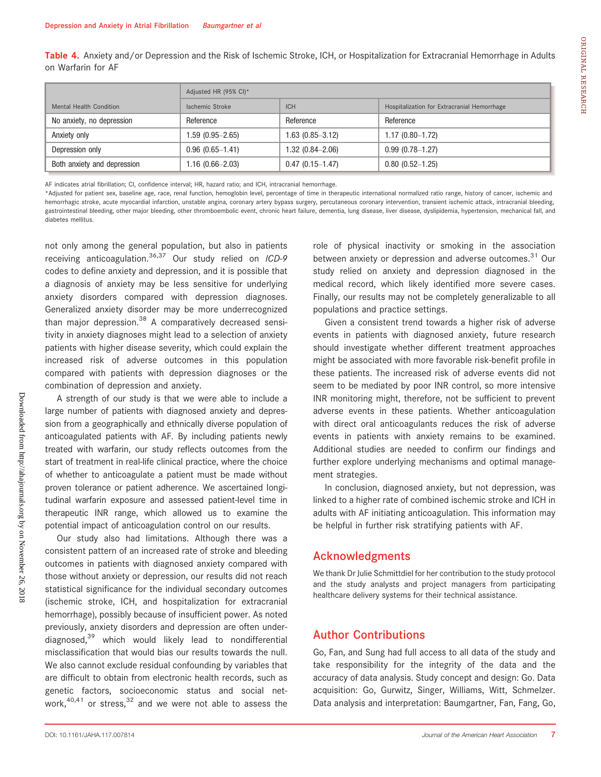|                           | Adjusted HR (95% CI)* |                  |                                             |  |
|---------------------------|-----------------------|------------------|---------------------------------------------|--|
| Mental Health Condition   | Ischemic Stroke       | <b>ICH</b>       | Hospitalization for Extracranial Hemorrhage |  |
| No anxiety, no depression | Reference             | Reference        | Reference                                   |  |
| Anxiety only              | 1.59 (0.95—2.65)      | 1.63 (0.85–3.12) | 1.17 (0.80–1.72)                            |  |

Table 4. Anxiety and/or Depression and the Risk of Ischemic Stroke, ICH, or Hospitalization for Extracranial Hemorrhage in Adults on Warfarin for AF

AF indicates atrial fibrillation; CI, confidence interval; HR, hazard ratio; and ICH, intracranial hemorrhage.

Depression only 0.96 (0.65–1.41) 1.32 (0.84–2.06) 0.99 (0.78–1.27) Both anxiety and depression 1.16 (0.66–2.03) 0.47 (0.15–1.47) 0.80 (0.52–1.25)

\*Adjusted for patient sex, baseline age, race, renal function, hemoglobin level, percentage of time in therapeutic international normalized ratio range, history of cancer, ischemic and hemorrhagic stroke, acute myocardial infarction, unstable angina, coronary artery bypass surgery, percutaneous coronary intervention, transient ischemic attack, intracranial bleeding, gastrointestinal bleeding, other major bleeding, other thromboembolic event, chronic heart failure, dementia, lung disease, liver disease, dyslipidemia, hypertension, mechanical fall, and diabetes mellitus.

not only among the general population, but also in patients receiving anticoagulation. $36,37$  Our study relied on ICD-9 codes to define anxiety and depression, and it is possible that a diagnosis of anxiety may be less sensitive for underlying anxiety disorders compared with depression diagnoses. Generalized anxiety disorder may be more underrecognized than major depression.<sup>38</sup> A comparatively decreased sensitivity in anxiety diagnoses might lead to a selection of anxiety patients with higher disease severity, which could explain the increased risk of adverse outcomes in this population compared with patients with depression diagnoses or the combination of depression and anxiety.

A strength of our study is that we were able to include a large number of patients with diagnosed anxiety and depression from a geographically and ethnically diverse population of anticoagulated patients with AF. By including patients newly treated with warfarin, our study reflects outcomes from the start of treatment in real-life clinical practice, where the choice of whether to anticoagulate a patient must be made without proven tolerance or patient adherence. We ascertained longitudinal warfarin exposure and assessed patient-level time in therapeutic INR range, which allowed us to examine the potential impact of anticoagulation control on our results.

Our study also had limitations. Although there was a consistent pattern of an increased rate of stroke and bleeding outcomes in patients with diagnosed anxiety compared with those without anxiety or depression, our results did not reach statistical significance for the individual secondary outcomes (ischemic stroke, ICH, and hospitalization for extracranial hemorrhage), possibly because of insufficient power. As noted previously, anxiety disorders and depression are often underdiagnosed,<sup>39</sup> which would likely lead to nondifferential misclassification that would bias our results towards the null. We also cannot exclude residual confounding by variables that are difficult to obtain from electronic health records, such as genetic factors, socioeconomic status and social network,  $40,41$  or stress,  $32$  and we were not able to assess the role of physical inactivity or smoking in the association between anxiety or depression and adverse outcomes.<sup>31</sup> Our study relied on anxiety and depression diagnosed in the medical record, which likely identified more severe cases. Finally, our results may not be completely generalizable to all populations and practice settings.

Given a consistent trend towards a higher risk of adverse events in patients with diagnosed anxiety, future research should investigate whether different treatment approaches might be associated with more favorable risk-benefit profile in these patients. The increased risk of adverse events did not seem to be mediated by poor INR control, so more intensive INR monitoring might, therefore, not be sufficient to prevent adverse events in these patients. Whether anticoagulation with direct oral anticoagulants reduces the risk of adverse events in patients with anxiety remains to be examined. Additional studies are needed to confirm our findings and further explore underlying mechanisms and optimal management strategies.

In conclusion, diagnosed anxiety, but not depression, was linked to a higher rate of combined ischemic stroke and ICH in adults with AF initiating anticoagulation. This information may be helpful in further risk stratifying patients with AF.

# Acknowledgments

We thank Dr Julie Schmittdiel for her contribution to the study protocol and the study analysts and project managers from participating healthcare delivery systems for their technical assistance.

# Author Contributions

Go, Fan, and Sung had full access to all data of the study and take responsibility for the integrity of the data and the accuracy of data analysis. Study concept and design: Go. Data acquisition: Go, Gurwitz, Singer, Williams, Witt, Schmelzer. Data analysis and interpretation: Baumgartner, Fan, Fang, Go,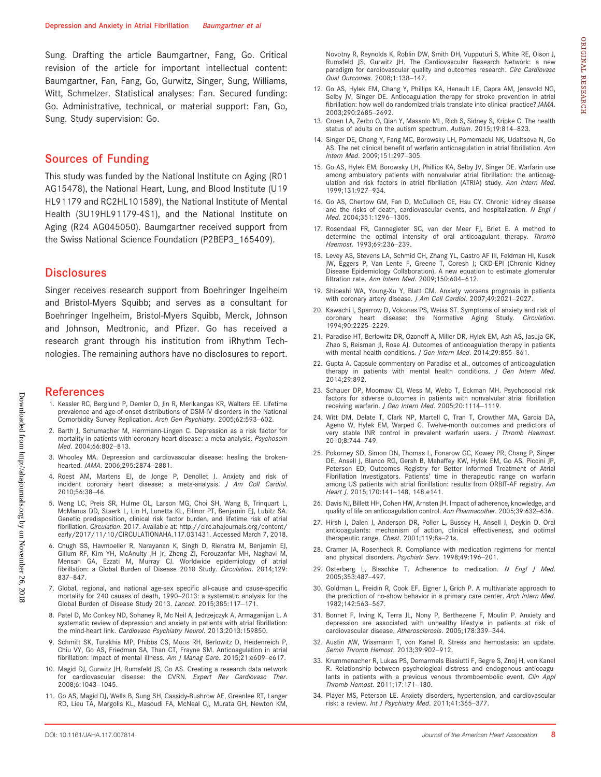Sung. Drafting the article Baumgartner, Fang, Go. Critical revision of the article for important intellectual content: Baumgartner, Fan, Fang, Go, Gurwitz, Singer, Sung, Williams, Witt, Schmelzer. Statistical analyses: Fan. Secured funding: Go. Administrative, technical, or material support: Fan, Go, Sung. Study supervision: Go.

# Sources of Funding

This study was funded by the National Institute on Aging (R01 AG15478), the National Heart, Lung, and Blood Institute (U19 HL91179 and RC2HL101589), the National Institute of Mental Health (3U19HL91179-4S1), and the National Institute on Aging (R24 AG045050). Baumgartner received support from the Swiss National Science Foundation (P2BEP3\_165409).

#### **Disclosures**

Singer receives research support from Boehringer Ingelheim and Bristol-Myers Squibb; and serves as a consultant for Boehringer Ingelheim, Bristol-Myers Squibb, Merck, Johnson and Johnson, Medtronic, and Pfizer. Go has received a research grant through his institution from iRhythm Technologies. The remaining authors have no disclosures to report.

#### References

- 1. Kessler RC, Berglund P, Demler O, Jin R, Merikangas KR, Walters EE. Lifetime prevalence and age-of-onset distributions of DSM-IV disorders in the National .<br>Comorbidity Survey Replication. Arch Gen Psychiatry. 2005;62:593-602.
- 2. Barth J, Schumacher M, Herrmann-Lingen C. Depression as a risk factor for mortality in patients with coronary heart disease: a meta-analysis. Psychosom Med. 2004;66:802–813.
- 3. Whooley MA. Depression and cardiovascular disease: healing the brokenhearted. JAMA. 2006;295:2874–2881.
- 4. Roest AM, Martens EJ, de Jonge P, Denollet J. Anxiety and risk of incident coronary heart disease: a meta-analysis. J Am Coll Cardiol. 2010;56:38–46.
- 5. Weng LC, Preis SR, Hulme OL, Larson MG, Choi SH, Wang B, Trinquart L, McManus DD, Staerk L, Lin H, Lunetta KL, Ellinor PT, Benjamin EJ, Lubitz SA. Genetic predisposition, clinical risk factor burden, and lifetime risk of atrial fibrillation. Circulation. 2017. Available at: [http://circ.ahajournals.org/content/](http://circ.ahajournals.org/content/early/2017/11/10/CIRCULATIONAHA.117.031431) [early/2017/11/10/CIRCULATIONAHA.117.031431](http://circ.ahajournals.org/content/early/2017/11/10/CIRCULATIONAHA.117.031431). Accessed March 7, 2018.
- 6. Chugh SS, Havmoeller R, Narayanan K, Singh D, Rienstra M, Benjamin EJ, Gillum RF, Kim YH, McAnulty JH Jr, Zheng ZJ, Forouzanfar MH, Naghavi M, Mensah GA, Ezzati M, Murray CJ. Worldwide epidemiology of atrial fibrillation: a Global Burden of Disease 2010 Study. Circulation. 2014;129: 837–847.
- 7. Global, regional, and national age-sex specific all-cause and cause-specific mortality for 240 causes of death, 1990–2013: a systematic analysis for the Global Burden of Disease Study 2013. Lancet. 2015;385:117–171.
- 8. Patel D, Mc Conkey ND, Sohaney R, Mc Neil A, Jedrzejczyk A, Armaganijan L. A systematic review of depression and anxiety in patients with atrial fibrillation: the mind-heart link. Cardiovasc Psychiatry Neurol. 2013;2013:159850.
- 9. Schmitt SK, Turakhia MP, Phibbs CS, Moos RH, Berlowitz D, Heidenreich P, Chiu VY, Go AS, Friedman SA, Than CT, Frayne SM. Anticoagulation in atrial fibrillation: impact of mental illness. Am J Manag Care. 2015;21:e609-e617.
- 10. Magid DJ, Gurwitz JH, Rumsfeld JS, Go AS. Creating a research data network for cardiovascular disease: the CVRN. Expert Rev Cardiovasc Ther. 2008;6:1043–1045.
- 11. Go AS, Magid DJ, Wells B, Sung SH, Cassidy-Bushrow AE, Greenlee RT, Langer RD, Lieu TA, Margolis KL, Masoudi FA, McNeal CJ, Murata GH, Newton KM,

Novotny R, Reynolds K, Roblin DW, Smith DH, Vupputuri S, White RE, Olson J, Rumsfeld JS, Gurwitz JH. The Cardiovascular Research Network: a new paradigm for cardiovascular quality and outcomes research. Circ Cardiovasc Qual Outcomes. 2008;1:138–147.

- 12. Go AS, Hylek EM, Chang Y, Phillips KA, Henault LE, Capra AM, Jensvold NG, Selby JV, Singer DE. Anticoagulation therapy for stroke prevention in atrial fibrillation: how well do randomized trials translate into clinical practice? JAMA. 2003;290:2685–2692.
- 13. Croen LA, Zerbo O, Qian Y, Massolo ML, Rich S, Sidney S, Kripke C. The health status of adults on the autism spectrum. Autism. 2015;19:814–823.
- 14. Singer DE, Chang Y, Fang MC, Borowsky LH, Pomernacki NK, Udaltsova N, Go AS. The net clinical benefit of warfarin anticoagulation in atrial fibrillation. Ann Intern Med. 2009;151:297–305.
- 15. Go AS, Hylek EM, Borowsky LH, Phillips KA, Selby JV, Singer DE. Warfarin use among ambulatory patients with nonvalvular atrial fibrillation: the anticoagulation and risk factors in atrial fibrillation (ATRIA) study. Ann Intern Med. 1999;131:927–934.
- 16. Go AS, Chertow GM, Fan D, McCulloch CE, Hsu CY. Chronic kidney disease and the risks of death, cardiovascular events, and hospitalization. N Engl J Med. 2004;351:1296–1305.
- 17. Rosendaal FR, Cannegieter SC, van der Meer FJ, Briet E. A method to determine the optimal intensity of oral anticoagulant therapy. Thromb Haemost. 1993;69:236–239.
- 18. Levey AS, Stevens LA, Schmid CH, Zhang YL, Castro AF III, Feldman HI, Kusek JW, Eggers P, Van Lente F, Greene T, Coresh J; CKD-EPI (Chronic Kidney Disease Epidemiology Collaboration). A new equation to estimate glomerular filtration rate. Ann Intern Med. 2009;150:604–612.
- 19. Shibeshi WA, Young-Xu Y, Blatt CM. Anxiety worsens prognosis in patients with coronary artery disease. J Am Coll Cardiol. 2007;49:2021–2027.
- 20. Kawachi I, Sparrow D, Vokonas PS, Weiss ST. Symptoms of anxiety and risk of coronary heart disease: the Normative Aging Study. Circulation. 1994;90:2225–2229.
- 21. Paradise HT, Berlowitz DR, Ozonoff A, Miller DR, Hylek EM, Ash AS, Jasuja GK, Zhao S, Reisman JI, Rose AJ. Outcomes of anticoagulation therapy in patients with mental health conditions. J Gen Intern Med. 2014;29:855-861.
- 22. Gupta A. Capsule commentary on Paradise et al., outcomes of anticoagulation therapy in patients with mental health conditions. J Gen Intern Med. 2014;29:892.
- 23. Schauer DP, Moomaw CJ, Wess M, Webb T, Eckman MH. Psychosocial risk factors for adverse outcomes in patients with nonvalvular atrial fibrillation receiving warfarin. J Gen Intern Med. 2005;20:1114–1119.
- 24. Witt DM, Delate T, Clark NP, Martell C, Tran T, Crowther MA, Garcia DA, Ageno W, Hylek EM, Warped C. Twelve-month outcomes and predictors of very stable INR control in prevalent warfarin users. J Thromb Haemost. 2010;8:744–749.
- 25. Pokorney SD, Simon DN, Thomas L, Fonarow GC, Kowey PR, Chang P, Singer DE, Ansell J, Blanco RG, Gersh B, Mahaffey KW, Hylek EM, Go AS, Piccini JP, Peterson ED; Outcomes Registry for Better Informed Treatment of Atrial Fibrillation Investigators. Patients' time in therapeutic range on warfarin among US patients with atrial fibrillation: results from ORBIT-AF registry. Am Heart J. 2015;170:141–148, 148.e141.
- 26. Davis NJ, Billett HH, Cohen HW, Arnsten JH. Impact of adherence, knowledge, and quality of life on anticoagulation control. Ann Pharmacother. 2005;39:632-636.
- 27. Hirsh J, Dalen J, Anderson DR, Poller L, Bussey H, Ansell J, Deykin D. Oral anticoagulants: mechanism of action, clinical effectiveness, and optimal therapeutic range. Chest. 2001;119:8s–21s.
- 28. Cramer JA, Rosenheck R. Compliance with medication regimens for mental and physical disorders. Psychiatr Serv. 1998;49:196–201.
- 29. Osterberg L, Blaschke T. Adherence to medication. N Engl J Med. 2005;353:487–497.
- 30. Goldman L, Freidin R, Cook EF, Eigner J, Grich P. A multivariate approach to the prediction of no-show behavior in a primary care center. Arch Intern Med. 1982;142:563–567.
- 31. Bonnet F, Irving K, Terra JL, Nony P, Berthezene F, Moulin P. Anxiety and depression are associated with unhealthy lifestyle in patients at risk of cardiovascular disease. Atherosclerosis. 2005;178:339–344.
- 32. Austin AW, Wissmann T, von Kanel R. Stress and hemostasis: an update. Semin Thromb Hemost. 2013;39:902–912.
- 33. Krummenacher R, Lukas PS, Demarmels Biasiutti F, Begre S, Znoj H, von Kanel R. Relationship between psychological distress and endogenous anticoagulants in patients with a previous venous thromboembolic event. Clin Appl Thromb Hemost. 2011;17:171–180.
- 34. Player MS, Peterson LE. Anxiety disorders, hypertension, and cardiovascular risk: a review. Int J Psychiatry Med. 2011;41:365-377.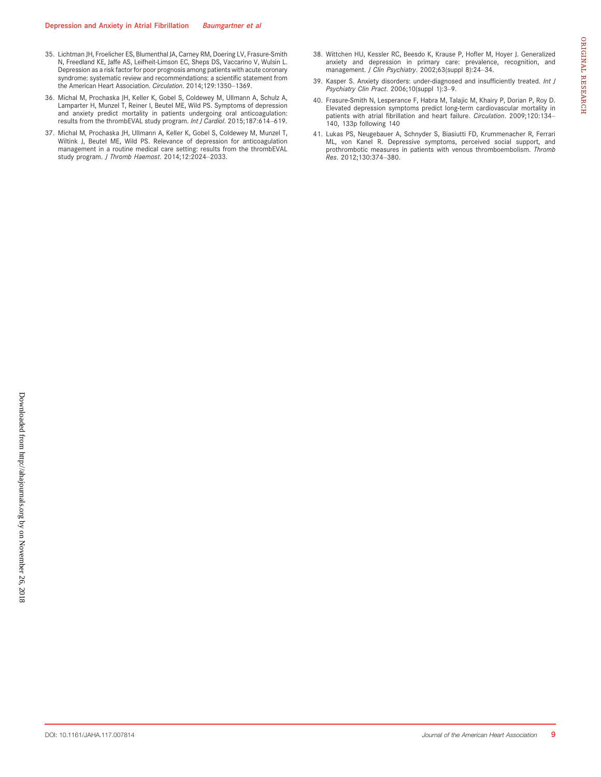- 35. Lichtman JH, Froelicher ES, Blumenthal JA, Carney RM, Doering LV, Frasure-Smith N, Freedland KE, Jaffe AS, Leifheit-Limson EC, Sheps DS, Vaccarino V, Wulsin L. Depression as a risk factor for poor prognosis among patients with acute coronary syndrome: systematic review and recommendations: a scientific statement from the American Heart Association. Circulation. 2014;129:1350–1369.
- 36. Michal M, Prochaska JH, Keller K, Gobel S, Coldewey M, Ullmann A, Schulz A, Lamparter H, Munzel T, Reiner I, Beutel ME, Wild PS. Symptoms of depression and anxiety predict mortality in patients undergoing oral anticoagulation: results from the thrombEVAL study program. Int J Cardiol. 2015;187:614-619.
- 37. Michal M, Prochaska JH, Ullmann A, Keller K, Gobel S, Coldewey M, Munzel T, Wiltink J, Beutel ME, Wild PS. Relevance of depression for anticoagulation management in a routine medical care setting: results from the thrombEVAL study program. J Thromb Haemost. 2014;12:2024–2033.
- 38. Wittchen HU, Kessler RC, Beesdo K, Krause P, Hofler M, Hoyer J. Generalized anxiety and depression in primary care: prevalence, recognition, and<br>management. *J Clin Psychiatry*. 2002;63(suppl 8):24–34.
- 39. Kasper S. Anxiety disorders: under-diagnosed and insufficiently treated. Int J Psychiatry Clin Pract. 2006;10(suppl 1):3–9.
- 40. Frasure-Smith N, Lesperance F, Habra M, Talajic M, Khairy P, Dorian P, Roy D. Elevated depression symptoms predict long-term cardiovascular mortality in patients with atrial fibrillation and heart failure. Circulation. 2009;120:134-140, 133p following 140
- 41. Lukas PS, Neugebauer A, Schnyder S, Biasiutti FD, Krummenacher R, Ferrari ML, von Kanel R. Depressive symptoms, perceived social support, and prothrombotic measures in patients with venous thromboembolism. Thromb Res. 2012;130:374–380.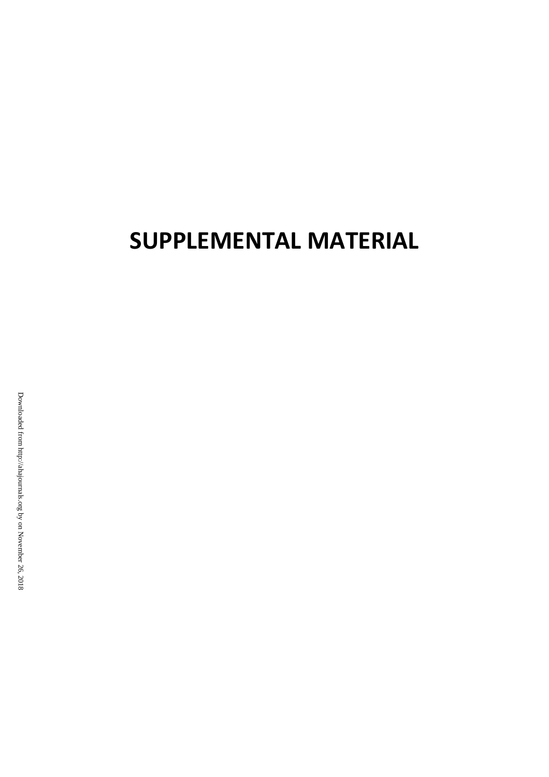# **SUPPLEMENTAL MATERIAL**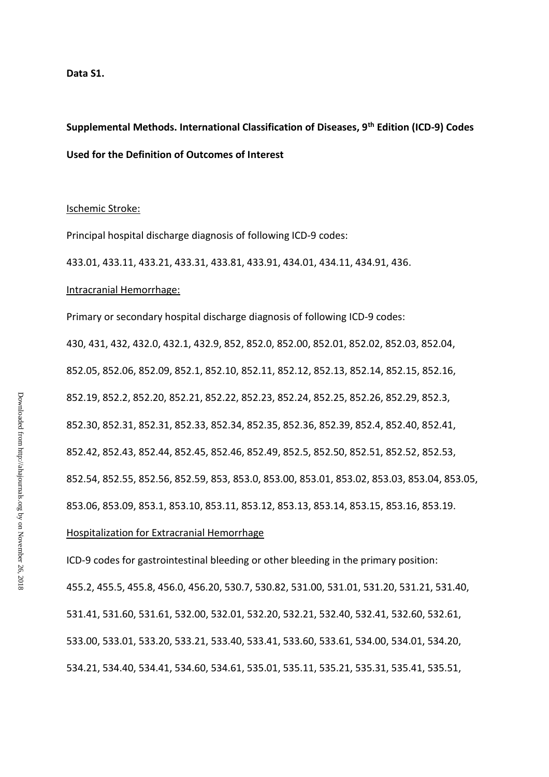#### **Data S1.**

# **Supplemental Methods. International Classification of Diseases, 9th Edition (ICD-9) Codes Used for the Definition of Outcomes of Interest**

# Ischemic Stroke:

Principal hospital discharge diagnosis of following ICD-9 codes:

433.01, 433.11, 433.21, 433.31, 433.81, 433.91, 434.01, 434.11, 434.91, 436.

# Intracranial Hemorrhage:

Primary or secondary hospital discharge diagnosis of following ICD-9 codes: 430, 431, 432, 432.0, 432.1, 432.9, 852, 852.0, 852.00, 852.01, 852.02, 852.03, 852.04, 852.05, 852.06, 852.09, 852.1, 852.10, 852.11, 852.12, 852.13, 852.14, 852.15, 852.16, 852.19, 852.2, 852.20, 852.21, 852.22, 852.23, 852.24, 852.25, 852.26, 852.29, 852.3, 852.30, 852.31, 852.31, 852.33, 852.34, 852.35, 852.36, 852.39, 852.4, 852.40, 852.41, 852.42, 852.43, 852.44, 852.45, 852.46, 852.49, 852.5, 852.50, 852.51, 852.52, 852.53, 852.54, 852.55, 852.56, 852.59, 853, 853.0, 853.00, 853.01, 853.02, 853.03, 853.04, 853.05, 853.06, 853.09, 853.1, 853.10, 853.11, 853.12, 853.13, 853.14, 853.15, 853.16, 853.19.

# Hospitalization for Extracranial Hemorrhage

ICD-9 codes for gastrointestinal bleeding or other bleeding in the primary position: 455.2, 455.5, 455.8, 456.0, 456.20, 530.7, 530.82, 531.00, 531.01, 531.20, 531.21, 531.40, 531.41, 531.60, 531.61, 532.00, 532.01, 532.20, 532.21, 532.40, 532.41, 532.60, 532.61, 533.00, 533.01, 533.20, 533.21, 533.40, 533.41, 533.60, 533.61, 534.00, 534.01, 534.20, 534.21, 534.40, 534.41, 534.60, 534.61, 535.01, 535.11, 535.21, 535.31, 535.41, 535.51,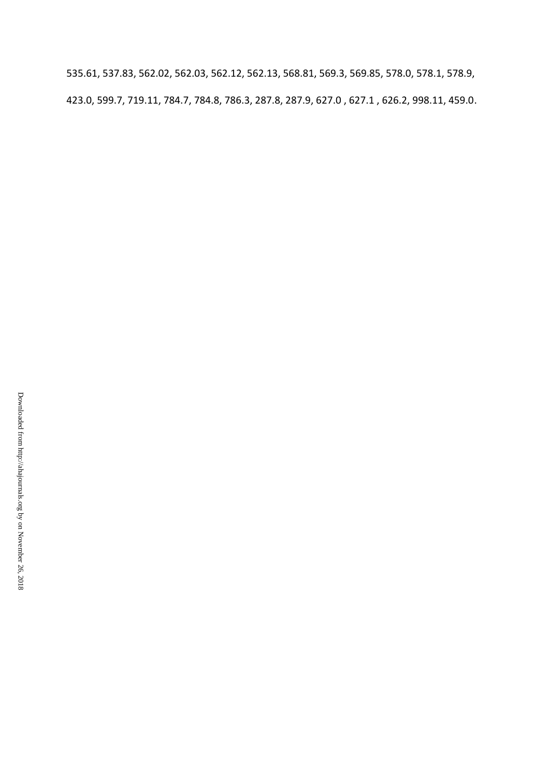535.61, 537.83, 562.02, 562.03, 562.12, 562.13, 568.81, 569.3, 569.85, 578.0, 578.1, 578.9, 423.0, 599.7, 719.11, 784.7, 784.8, 786.3, 287.8, 287.9, 627.0 , 627.1 , 626.2, 998.11, 459.0.